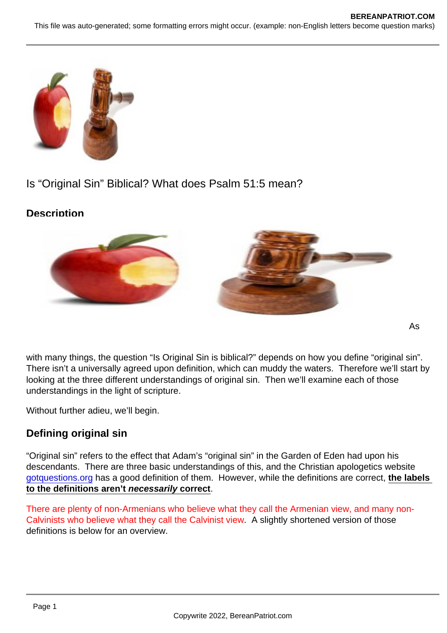# Is "Original Sin" Biblical? What does Psalm 51:5 mean?

**Description** 

with many things, the question "Is Original Sin is biblical?" depends on how you define "original sin". There isn't a universally agreed upon definition, which can muddy the waters. Therefore we'll start by looking at the three different understandings of original sin. Then we'll examine each of those understandings in the light of scripture.

Without further adieu, we'll begin.

## Defining original sin

"Original sin" refers to the effect that Adam's "original sin" in the Garden of Eden had upon his descendants. There are three basic understandings of this, and the Christian apologetics website [gotquestions.org](https://www.gotquestions.org/original-sin.html) has a good definition of them. However, while the definitions are correct, the labels to the definitions aren't necessarily correct .

There are plenty of non-Armenians who believe what they call the Armenian view, and many non-Calvinists who believe what they call the Calvinist view. A slightly shortened version of those definitions is below for an overview.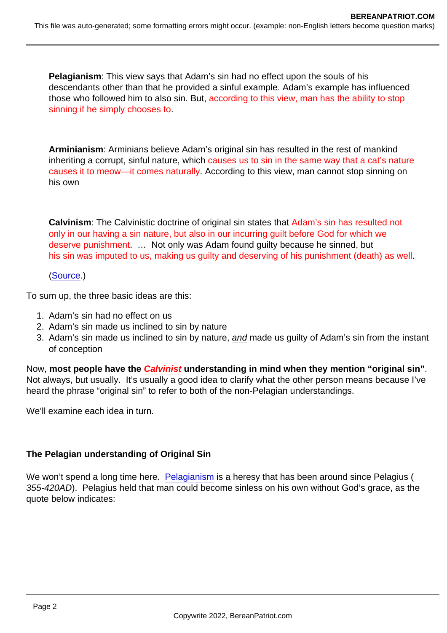Pelagianism : This view says that Adam's sin had no effect upon the souls of his descendants other than that he provided a sinful example. Adam's example has influenced those who followed him to also sin. But, according to this view, man has the ability to stop sinning if he simply chooses to.

Arminianism : Arminians believe Adam's original sin has resulted in the rest of mankind inheriting a corrupt, sinful nature, which causes us to sin in the same way that a cat's nature causes it to meow—it comes naturally. According to this view, man cannot stop sinning on his own

Calvinism : The Calvinistic doctrine of original sin states that Adam's sin has resulted not only in our having a sin nature, but also in our incurring guilt before God for which we deserve punishment. … Not only was Adam found guilty because he sinned, but his sin was imputed to us, making us guilty and deserving of his punishment (death) as well.

([Source](https://www.gotquestions.org/original-sin.html).)

To sum up, the three basic ideas are this:

- 1. Adam's sin had no effect on us
- 2. Adam's sin made us inclined to sin by nature
- 3. Adam's sin made us inclined to sin by nature, and made us guilty of Adam's sin from the instant of conception

Now, most people have the Calvinist understanding in mind when they mention "original sin" Not always, but usually. It's usually a good idea to clarify what the other person means because I've heard the phrase "original sin" to refer to both of the non-Pelagian understandings.

We'll examine each idea in turn.

The Pelagian understanding of Original Sin

We won't spend a long time here. [Pelagianism](https://www.learnreligions.com/what-is-pelagianism-4783772) is a heresy that has been around since Pelagius ( 355-420AD). Pelagius held that man could become sinless on his own without God's grace, as the quote below indicates: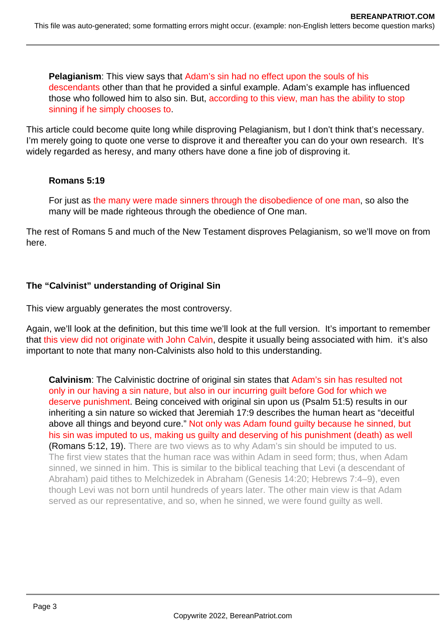**Pelagianism**: This view says that Adam's sin had no effect upon the souls of his descendants other than that he provided a sinful example. Adam's example has influenced those who followed him to also sin. But, according to this view, man has the ability to stop sinning if he simply chooses to.

This article could become quite long while disproving Pelagianism, but I don't think that's necessary. I'm merely going to quote one verse to disprove it and thereafter you can do your own research. It's widely regarded as heresy, and many others have done a fine job of disproving it.

### **Romans 5:19**

For just as the many were made sinners through the disobedience of one man, so also the many will be made righteous through the obedience of One man.

The rest of Romans 5 and much of the New Testament disproves Pelagianism, so we'll move on from here.

## **The "Calvinist" understanding of Original Sin**

This view arguably generates the most controversy.

Again, we'll look at the definition, but this time we'll look at the full version. It's important to remember that this view did not originate with John Calvin, despite it usually being associated with him. it's also important to note that many non-Calvinists also hold to this understanding.

**Calvinism**: The Calvinistic doctrine of original sin states that Adam's sin has resulted not only in our having a sin nature, but also in our incurring guilt before God for which we deserve punishment. Being conceived with original sin upon us (Psalm 51:5) results in our inheriting a sin nature so wicked that Jeremiah 17:9 describes the human heart as "deceitful above all things and beyond cure." Not only was Adam found guilty because he sinned, but his sin was imputed to us, making us guilty and deserving of his punishment (death) as well (Romans 5:12, 19). There are two views as to why Adam's sin should be imputed to us. The first view states that the human race was within Adam in seed form; thus, when Adam sinned, we sinned in him. This is similar to the biblical teaching that Levi (a descendant of Abraham) paid tithes to Melchizedek in Abraham (Genesis 14:20; Hebrews 7:4–9), even though Levi was not born until hundreds of years later. The other main view is that Adam served as our representative, and so, when he sinned, we were found guilty as well.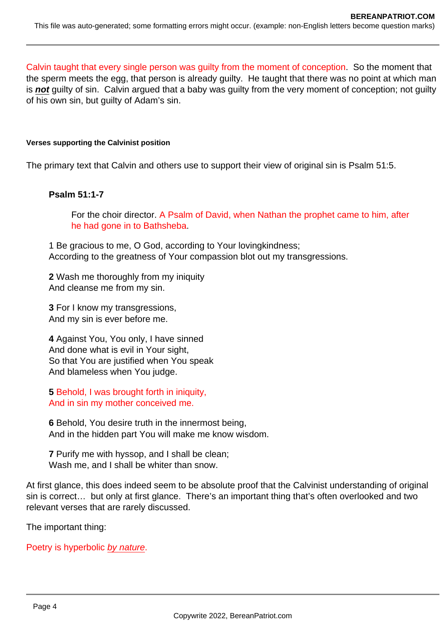Calvin taught that every single person was guilty from the moment of conception. So the moment that the sperm meets the egg, that person is already guilty. He taught that there was no point at which man is **not** guilty of sin. Calvin argued that a baby was guilty from the very moment of conception; not guilty of his own sin, but guilty of Adam's sin.

#### **Verses supporting the Calvinist position**

The primary text that Calvin and others use to support their view of original sin is Psalm 51:5.

#### **Psalm 51:1-7**

For the choir director. A Psalm of David, when Nathan the prophet came to him, after he had gone in to Bathsheba.

1 Be gracious to me, O God, according to Your lovingkindness; According to the greatness of Your compassion blot out my transgressions.

**2** Wash me thoroughly from my iniquity And cleanse me from my sin.

**3** For I know my transgressions, And my sin is ever before me.

**4** Against You, You only, I have sinned And done what is evil in Your sight, So that You are justified when You speak And blameless when You judge.

**5** Behold, I was brought forth in iniquity, And in sin my mother conceived me.

**6** Behold, You desire truth in the innermost being, And in the hidden part You will make me know wisdom.

**7** Purify me with hyssop, and I shall be clean; Wash me, and I shall be whiter than snow.

At first glance, this does indeed seem to be absolute proof that the Calvinist understanding of original sin is correct… but only at first glance. There's an important thing that's often overlooked and two relevant verses that are rarely discussed.

The important thing:

Poetry is hyperbolic by nature.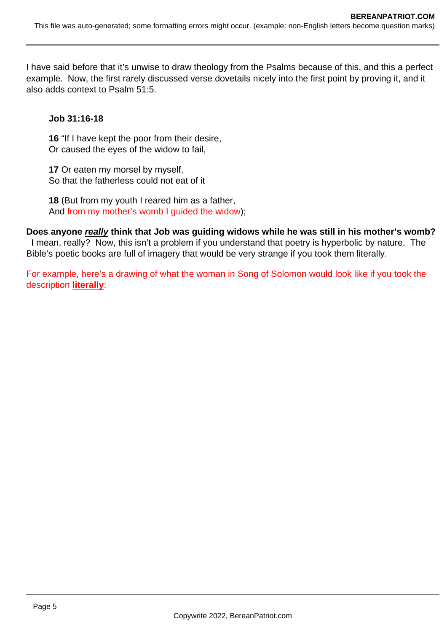I have said before that it's unwise to draw theology from the Psalms because of this, and this a perfect example. Now, the first rarely discussed verse dovetails nicely into the first point by proving it, and it also adds context to Psalm 51:5.

#### **Job 31:16-18**

**16** "If I have kept the poor from their desire, Or caused the eyes of the widow to fail,

**17** Or eaten my morsel by myself, So that the fatherless could not eat of it

**18** (But from my youth I reared him as a father, And from my mother's womb I guided the widow);

**Does anyone really think that Job was guiding widows while he was still in his mother's womb?** I mean, really? Now, this isn't a problem if you understand that poetry is hyperbolic by nature. The Bible's poetic books are full of imagery that would be very strange if you took them literally.

For example, here's a drawing of what the woman in Song of Solomon would look like if you took the description **literally**: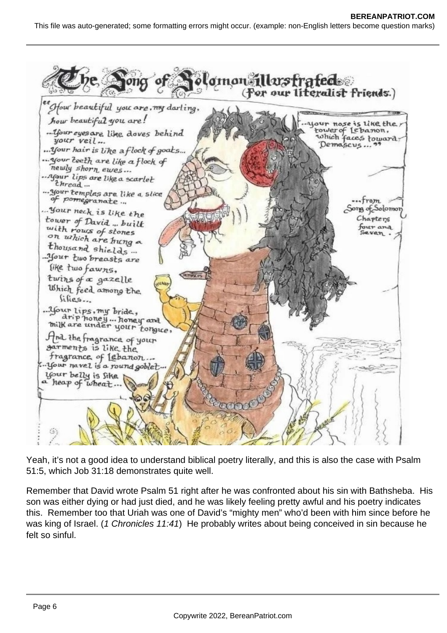

Yeah, it's not a good idea to understand biblical poetry literally, and this is also the case with Psalm 51:5, which Job 31:18 demonstrates quite well.

Remember that David wrote Psalm 51 right after he was confronted about his sin with Bathsheba. His son was either dying or had just died, and he was likely feeling pretty awful and his poetry indicates this. Remember too that Uriah was one of David's "mighty men" who'd been with him since before he was king of Israel. (1 Chronicles 11:41) He probably writes about being conceived in sin because he felt so sinful.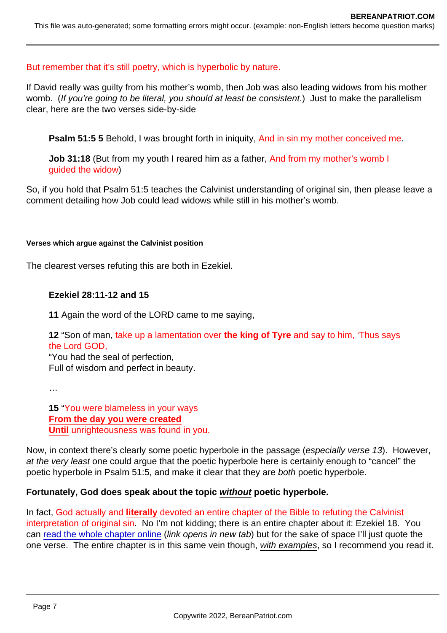#### But remember that it's still poetry, which is hyperbolic by nature.

If David really was guilty from his mother's womb, then Job was also leading widows from his mother womb. (If you're going to be literal, you should at least be consistent.) Just to make the parallelism clear, here are the two verses side-by-side

Psalm 51:5 5 Behold, I was brought forth in iniquity, And in sin my mother conceived me.

Job 31:18 (But from my youth I reared him as a father, And from my mother's womb I guided the widow)

So, if you hold that Psalm 51:5 teaches the Calvinist understanding of original sin, then please leave a comment detailing how Job could lead widows while still in his mother's womb.

Verses which argue against the Calvinist position

The clearest verses refuting this are both in Ezekiel.

Ezekiel 28:11-12 and 15

11 Again the word of the LORD came to me saying,

12 "Son of man, take up a lamentation over the king of Tyre and say to him, 'Thus says the Lord GOD,

"You had the seal of perfection, Full of wisdom and perfect in beauty.

…

15 "You were blameless in your ways From the day you were created Until unrighteousness was found in you.

Now, in context there's clearly some poetic hyperbole in the passage (especially verse 13). However, at the very least one could argue that the poetic hyperbole here is certainly enough to "cancel" the poetic hyperbole in Psalm 51:5, and make it clear that they are both poetic hyperbole.

Fortunately, God does speak about the topic without poetic hyperbole.

In fact, God actually and literally devoted an entire chapter of the Bible to refuting the Calvinist interpretation of original sin. No I'm not kidding; there is an entire chapter about it: Ezekiel 18. You can [read the whole chapter online](https://biblehub.com/nasb/ezekiel/18.htm) (link opens in new tab) but for the sake of space I'll just quote the one verse. The entire chapter is in this same vein though, with examples, so I recommend you read it.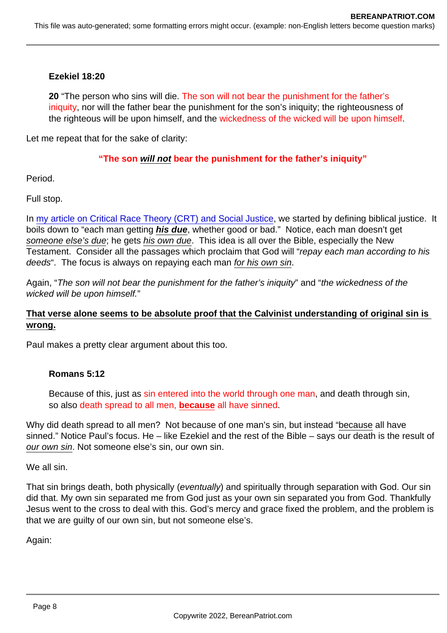Ezekiel 18:20

20 "The person who sins will die. The son will not bear the punishment for the father's iniquity, nor will the father bear the punishment for the son's iniquity; the righteousness of the righteous will be upon himself, and the wickedness of the wicked will be upon himself.

Let me repeat that for the sake of clarity:

### "The son will not bear the punishment for the father's iniquity"

Period.

Full stop.

In [my article on Critical Race Theory \(CRT\) and Social Justice](https://www.bereanpatriot.com/what-are-social-justice-and-critical-race-theory-crt-and-are-they-biblical/), we started by defining biblical justice. It boils down to "each man getting his due , whether good or bad." Notice, each man doesn't get someone else's due; he gets his own due. This idea is all over the Bible, especially the New Testament. Consider all the passages which proclaim that God will "repay each man according to his deeds". The focus is always on repaying each man for his own sin.

Again, "The son will not bear the punishment for the father's iniquity" and "the wickedness of the wicked will be upon himself."

That verse alone seems to be absolute proof that the Calvinist understanding of original sin is wrong.

Paul makes a pretty clear argument about this too.

Romans 5:12

Because of this, just as sin entered into the world through one man, and death through sin, so also death spread to all men, because all have sinned.

Why did death spread to all men? Not because of one man's sin, but instead "because all have sinned." Notice Paul's focus. He – like Ezekiel and the rest of the Bible – says our death is the result of our own sin. Not someone else's sin, our own sin.

We all sin.

That sin brings death, both physically (eventually) and spiritually through separation with God. Our sin did that. My own sin separated me from God just as your own sin separated you from God. Thankfully Jesus went to the cross to deal with this. God's mercy and grace fixed the problem, and the problem is that we are guilty of our own sin, but not someone else's.

Again: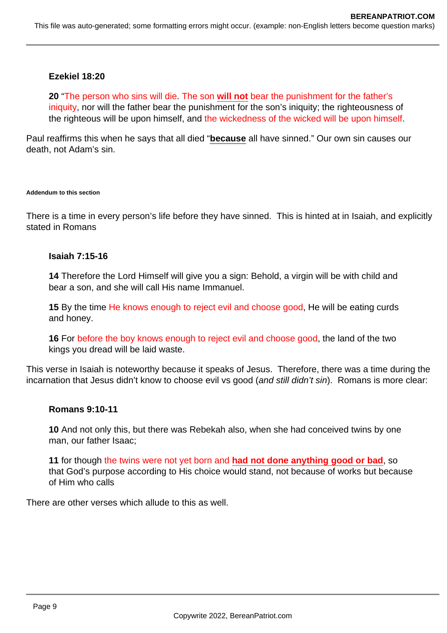#### **Ezekiel 18:20**

**20** "The person who sins will die. The son **will not** bear the punishment for the father's iniquity, nor will the father bear the punishment for the son's iniquity; the righteousness of the righteous will be upon himself, and the wickedness of the wicked will be upon himself.

Paul reaffirms this when he says that all died "**because** all have sinned." Our own sin causes our death, not Adam's sin.

#### **Addendum to this section**

There is a time in every person's life before they have sinned. This is hinted at in Isaiah, and explicitly stated in Romans

#### **Isaiah 7:15-16**

**14** Therefore the Lord Himself will give you a sign: Behold, a virgin will be with child and bear a son, and she will call His name Immanuel.

**15** By the time He knows enough to reject evil and choose good, He will be eating curds and honey.

**16** For before the boy knows enough to reject evil and choose good, the land of the two kings you dread will be laid waste.

This verse in Isaiah is noteworthy because it speaks of Jesus. Therefore, there was a time during the incarnation that Jesus didn't know to choose evil vs good (and still didn't sin). Romans is more clear:

#### **Romans 9:10-11**

**10** And not only this, but there was Rebekah also, when she had conceived twins by one man, our father Isaac;

**11** for though the twins were not yet born and **had not done anything good or bad**, so that God's purpose according to His choice would stand, not because of works but because of Him who calls

There are other verses which allude to this as well.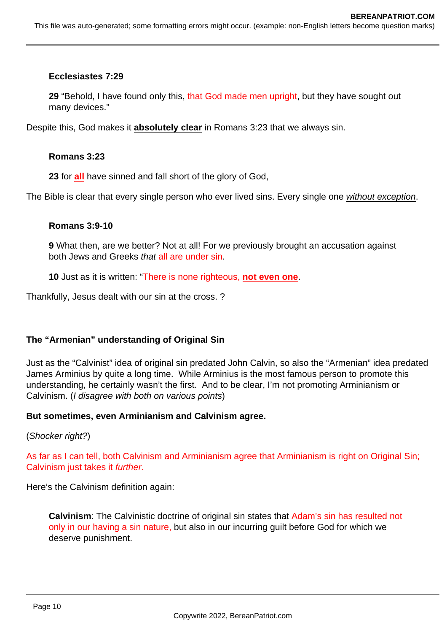#### **Ecclesiastes 7:29**

**29** "Behold, I have found only this, that God made men upright, but they have sought out many devices."

Despite this, God makes it **absolutely clear** in Romans 3:23 that we always sin.

#### **Romans 3:23**

**23** for **all** have sinned and fall short of the glory of God,

The Bible is clear that every single person who ever lived sins. Every single one without exception.

#### **Romans 3:9-10**

**9** What then, are we better? Not at all! For we previously brought an accusation against both Jews and Greeks that all are under sin.

**10** Just as it is written: "There is none righteous, **not even one**.

Thankfully, Jesus dealt with our sin at the cross. ?

### **The "Armenian" understanding of Original Sin**

Just as the "Calvinist" idea of original sin predated John Calvin, so also the "Armenian" idea predated James Arminius by quite a long time. While Arminius is the most famous person to promote this understanding, he certainly wasn't the first. And to be clear, I'm not promoting Arminianism or Calvinism. (I disagree with both on various points)

### **But sometimes, even Arminianism and Calvinism agree.**

(Shocker right?)

As far as I can tell, both Calvinism and Arminianism agree that Arminianism is right on Original Sin; Calvinism just takes it further.

Here's the Calvinism definition again:

**Calvinism**: The Calvinistic doctrine of original sin states that Adam's sin has resulted not only in our having a sin nature, but also in our incurring guilt before God for which we deserve punishment.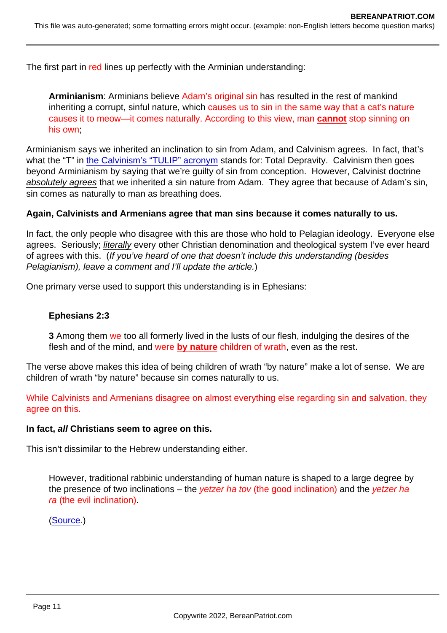The first part in red lines up perfectly with the Arminian understanding:

Arminianism: Arminians believe Adam's original sin has resulted in the rest of mankind inheriting a corrupt, sinful nature, which causes us to sin in the same way that a cat's nature causes it to meow—it comes naturally. According to this view, man cannot stop sinning on his own;

Arminianism says we inherited an inclination to sin from Adam, and Calvinism agrees. In fact, that's what the "T" in [the Calvinism's "TULIP" acronym](https://carm.org/about-theology/what-is-tulip-in-calvinism/) stands for: Total Depravity. Calvinism then goes beyond Arminianism by saying that we're guilty of sin from conception. However, Calvinist doctrine absolutely agrees that we inherited a sin nature from Adam. They agree that because of Adam's sin, sin comes as naturally to man as breathing does.

Again, Calvinists and Armenians agree that man sins because it comes naturally to us.

In fact, the only people who disagree with this are those who hold to Pelagian ideology. Everyone else agrees. Seriously; literally every other Christian denomination and theological system I've ever heard of agrees with this. (If you've heard of one that doesn't include this understanding (besides Pelagianism), leave a comment and I'll update the article.)

One primary verse used to support this understanding is in Ephesians:

Ephesians 2:3

3 Among them we too all formerly lived in the lusts of our flesh, indulging the desires of the flesh and of the mind, and were by nature children of wrath, even as the rest.

The verse above makes this idea of being children of wrath "by nature" make a lot of sense. We are children of wrath "by nature" because sin comes naturally to us.

While Calvinists and Armenians disagree on almost everything else regarding sin and salvation, they agree on this.

In fact, all Christians seem to agree on this.

This isn't dissimilar to the Hebrew understanding either.

However, traditional rabbinic understanding of human nature is shaped to a large degree by the presence of two inclinations – the yetzer ha tov (the good inclination) and the yetzer ha ra (the evil inclination).

([Source](https://www.chosenpeople.com/site/the-evil-and-good-inclinations-in-judaism/).)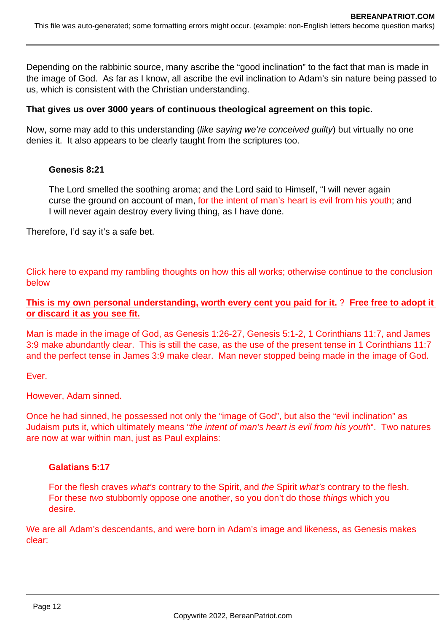Depending on the rabbinic source, many ascribe the "good inclination" to the fact that man is made in the image of God. As far as I know, all ascribe the evil inclination to Adam's sin nature being passed to us, which is consistent with the Christian understanding.

#### **That gives us over 3000 years of continuous theological agreement on this topic.**

Now, some may add to this understanding (like saying we're conceived guilty) but virtually no one denies it. It also appears to be clearly taught from the scriptures too.

#### **Genesis 8:21**

The Lord smelled the soothing aroma; and the Lord said to Himself, "I will never again curse the ground on account of man, for the intent of man's heart is evil from his youth; and I will never again destroy every living thing, as I have done.

Therefore, I'd say it's a safe bet.

Click here to expand my rambling thoughts on how this all works; otherwise continue to the conclusion below

#### **This is my own personal understanding, worth every cent you paid for it.** ? **Free free to adopt it or discard it as you see fit.**

Man is made in the image of God, as Genesis 1:26-27, Genesis 5:1-2, 1 Corinthians 11:7, and James 3:9 make abundantly clear. This is still the case, as the use of the present tense in 1 Corinthians 11:7 and the perfect tense in James 3:9 make clear. Man never stopped being made in the image of God.

Ever.

However, Adam sinned.

Once he had sinned, he possessed not only the "image of God", but also the "evil inclination" as Judaism puts it, which ultimately means "the intent of man's heart is evil from his youth". Two natures are now at war within man, just as Paul explains:

#### **Galatians 5:17**

For the flesh craves what's contrary to the Spirit, and the Spirit what's contrary to the flesh. For these two stubbornly oppose one another, so you don't do those things which you desire.

We are all Adam's descendants, and were born in Adam's image and likeness, as Genesis makes clear: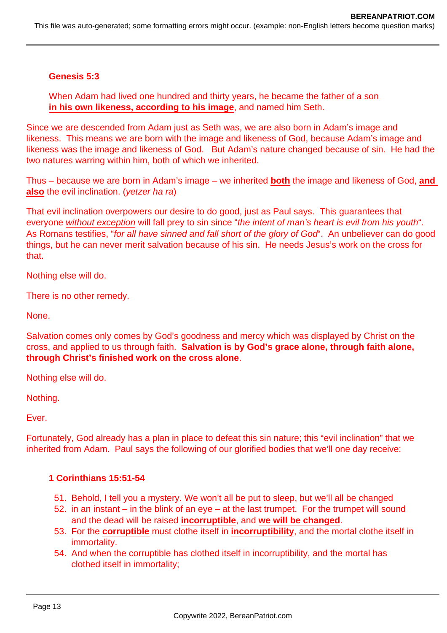#### **Genesis 5:3**

When Adam had lived one hundred and thirty years, he became the father of a son **in his own likeness, according to his image**, and named him Seth.

Since we are descended from Adam just as Seth was, we are also born in Adam's image and likeness. This means we are born with the image and likeness of God, because Adam's image and likeness was the image and likeness of God. But Adam's nature changed because of sin. He had the two natures warring within him, both of which we inherited.

Thus – because we are born in Adam's image – we inherited **both** the image and likeness of God, **and also** the evil inclination. (yetzer ha ra)

That evil inclination overpowers our desire to do good, just as Paul says. This guarantees that everyone without exception will fall prey to sin since "the intent of man's heart is evil from his youth". As Romans testifies, "for all have sinned and fall short of the glory of God". An unbeliever can do good things, but he can never merit salvation because of his sin. He needs Jesus's work on the cross for that.

Nothing else will do.

There is no other remedy.

None.

Salvation comes only comes by God's goodness and mercy which was displayed by Christ on the cross, and applied to us through faith. **Salvation is by God's grace alone, through faith alone, through Christ's finished work on the cross alone**.

Nothing else will do.

Nothing.

Ever.

Fortunately, God already has a plan in place to defeat this sin nature; this "evil inclination" that we inherited from Adam. Paul says the following of our glorified bodies that we'll one day receive:

#### **1 Corinthians 15:51-54**

- 51. Behold, I tell you a mystery. We won't all be put to sleep, but we'll all be changed
- 52. in an instant in the blink of an eye at the last trumpet. For the trumpet will sound and the dead will be raised **incorruptible**, and **we will be changed**.
- 53. For the **corruptible** must clothe itself in **incorruptibility**, and the mortal clothe itself in immortality.
- 54. And when the corruptible has clothed itself in incorruptibility, and the mortal has clothed itself in immortality;